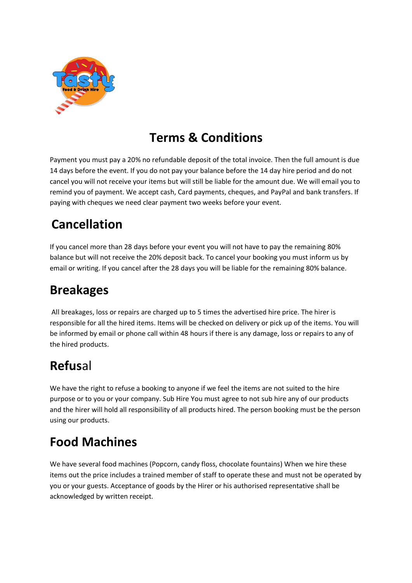

#### **Terms & Conditions**

Payment you must pay a 20% no refundable deposit of the total invoice. Then the full amount is due 14 days before the event. If you do not pay your balance before the 14 day hire period and do not cancel you will not receive your items but will still be liable for the amount due. We will email you to remind you of payment. We accept cash, Card payments, cheques, and PayPal and bank transfers. If paying with cheques we need clear payment two weeks before your event.

# **Cancellation**

If you cancel more than 28 days before your event you will not have to pay the remaining 80% balance but will not receive the 20% deposit back. To cancel your booking you must inform us by email or writing. If you cancel after the 28 days you will be liable for the remaining 80% balance.

### **Breakages**

All breakages, loss or repairs are charged up to 5 times the advertised hire price. The hirer is responsible for all the hired items. Items will be checked on delivery or pick up of the items. You will be informed by email or phone call within 48 hours if there is any damage, loss or repairs to any of the hired products.

# **Refus**al

We have the right to refuse a booking to anyone if we feel the items are not suited to the hire purpose or to you or your company. Sub Hire You must agree to not sub hire any of our products and the hirer will hold all responsibility of all products hired. The person booking must be the person using our products.

# **Food Machines**

We have several food machines (Popcorn, candy floss, chocolate fountains) When we hire these items out the price includes a trained member of staff to operate these and must not be operated by you or your guests. Acceptance of goods by the Hirer or his authorised representative shall be acknowledged by written receipt.